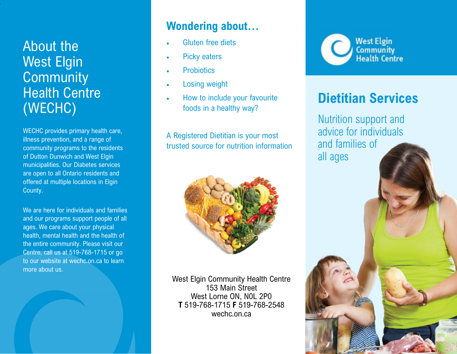## About the West Elgin **Community** Health Centre (WECHC)

WECHC provides primary health care, illness prevention, and a range of community programs to the residents of Dutton Dunwich and West Elgin municipalities. Our Diabetes services are open to all Ontario residents and offered at multiple locations in Elgin County.

We are here for individuals and families and our programs support people of all ages. We care about your physical health, mental health and the health of the entire community. Please visit our Centre, call us at 519-768-1715 or go to our website at wechc.on.ca to learn more about us.

#### **Wondering about...**

- Gluten free diets
- Picky eaters
- Probiotics
- Losing weight
- How to include your favourite foods in a healthy way?

A Registered Dietitian is your most trusted source for nutrition information



West Elgin Community Health Centre 153 Main Street West Lorne ON, N0L 2P0 **T** 519-768-1715 **F** 519-768-2548 wechc.on.ca



# **Dietitian Services**

Nutrition support and advice for individuals and families of all ages